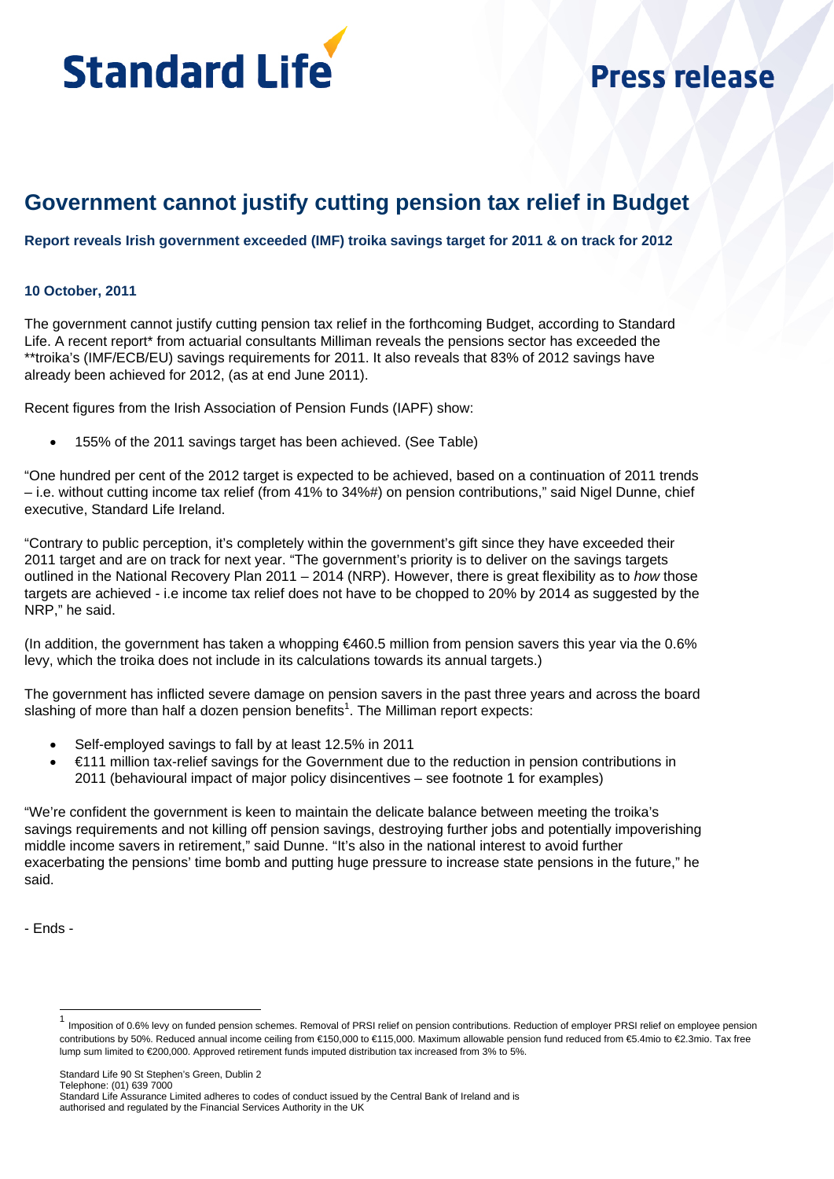

# **Press release**

# **Government cannot justify cutting pension tax relief in Budget**

**Report reveals Irish government exceeded (IMF) troika savings target for 2011 & on track for 2012** 

## **10 October, 2011**

The government cannot justify cutting pension tax relief in the forthcoming Budget, according to Standard Life. A recent report<sup>\*</sup> from actuarial consultants Milliman reveals the pensions sector has exceeded the \*\*troika's (IMF/ECB/EU) savings requirements for 2011. It also reveals that 83% of 2012 savings have already been achieved for 2012, (as at end June 2011).

Recent figures from the Irish Association of Pension Funds (IAPF) show:

155% of the 2011 savings target has been achieved. (See Table)

"One hundred per cent of the 2012 target is expected to be achieved, based on a continuation of 2011 trends – i.e. without cutting income tax relief (from 41% to 34%#) on pension contributions," said Nigel Dunne, chief executive, Standard Life Ireland.

"Contrary to public perception, it's completely within the government's gift since they have exceeded their 2011 target and are on track for next year. "The government's priority is to deliver on the savings targets outlined in the National Recovery Plan 2011 – 2014 (NRP). However, there is great flexibility as to *how* those targets are achieved - i.e income tax relief does not have to be chopped to 20% by 2014 as suggested by the NRP," he said.

(In addition, the government has taken a whopping €460.5 million from pension savers this year via the 0.6% levy, which the troika does not include in its calculations towards its annual targets.)

The government has inflicted severe damage on pension savers in the past three years and across the board slashing of more than half a dozen pension benefits<sup>1</sup>. The Milliman report expects:

- Self-employed savings to fall by at least 12.5% in 2011
- €111 million tax-relief savings for the Government due to the reduction in pension contributions in 2011 (behavioural impact of major policy disincentives – see footnote 1 for examples)

"We're confident the government is keen to maintain the delicate balance between meeting the troika's savings requirements and not killing off pension savings, destroying further jobs and potentially impoverishing middle income savers in retirement," said Dunne. "It's also in the national interest to avoid further exacerbating the pensions' time bomb and putting huge pressure to increase state pensions in the future," he said.

- Ends -

l

<sup>&</sup>lt;sup>1</sup> Imposition of 0.6% levy on funded pension schemes. Removal of PRSI relief on pension contributions. Reduction of employer PRSI relief on employee pension contributions by 50%. Reduced annual income ceiling from €150,000 to €115,000. Maximum allowable pension fund reduced from €5.4mio to €2.3mio. Tax free lump sum limited to €200,000. Approved retirement funds imputed distribution tax increased from 3% to 5%.

Standard Life Assurance Limited adheres to codes of conduct issued by the Central Bank of Ireland and is authorised and regulated by the Financial Services Authority in the UK